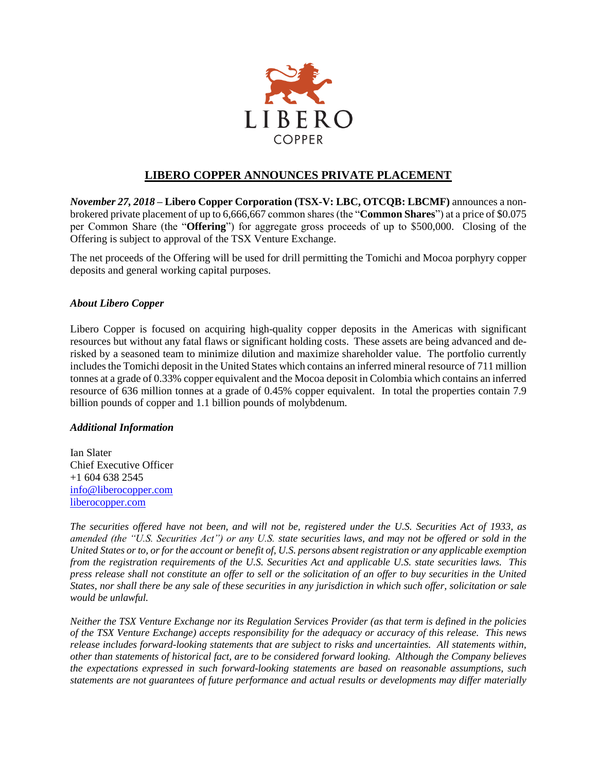

## **LIBERO COPPER ANNOUNCES PRIVATE PLACEMENT**

*November 27, 2018* **– Libero Copper Corporation (TSX-V: LBC, OTCQB: LBCMF)** announces a nonbrokered private placement of up to 6,666,667 common shares (the "**Common Shares**") at a price of \$0.075 per Common Share (the "**Offering**") for aggregate gross proceeds of up to \$500,000. Closing of the Offering is subject to approval of the TSX Venture Exchange.

The net proceeds of the Offering will be used for drill permitting the Tomichi and Mocoa porphyry copper deposits and general working capital purposes.

## *About Libero Copper*

Libero Copper is focused on acquiring high-quality copper deposits in the Americas with significant resources but without any fatal flaws or significant holding costs. These assets are being advanced and derisked by a seasoned team to minimize dilution and maximize shareholder value. The portfolio currently includes the Tomichi deposit in the United States which contains an inferred mineral resource of 711 million tonnes at a grade of 0.33% copper equivalent and the Mocoa deposit in Colombia which contains an inferred resource of 636 million tonnes at a grade of 0.45% copper equivalent. In total the properties contain 7.9 billion pounds of copper and 1.1 billion pounds of molybdenum.

## *Additional Information*

Ian Slater Chief Executive Officer +1 604 638 2545 [info@liberocopper.com](mailto:info@liberocopper.com)  [liberocopper.com](file:///C:/Users/leohathaway/Downloads/www.liberocopper.com)

*The securities offered have not been, and will not be, registered under the U.S. Securities Act of 1933, as amended (the "U.S. Securities Act") or any U.S. state securities laws, and may not be offered or sold in the United States or to, or for the account or benefit of, U.S. persons absent registration or any applicable exemption from the registration requirements of the U.S. Securities Act and applicable U.S. state securities laws. This press release shall not constitute an offer to sell or the solicitation of an offer to buy securities in the United States, nor shall there be any sale of these securities in any jurisdiction in which such offer, solicitation or sale would be unlawful.*

*Neither the TSX Venture Exchange nor its Regulation Services Provider (as that term is defined in the policies of the TSX Venture Exchange) accepts responsibility for the adequacy or accuracy of this release. This news release includes forward-looking statements that are subject to risks and uncertainties. All statements within, other than statements of historical fact, are to be considered forward looking. Although the Company believes the expectations expressed in such forward-looking statements are based on reasonable assumptions, such statements are not guarantees of future performance and actual results or developments may differ materially*